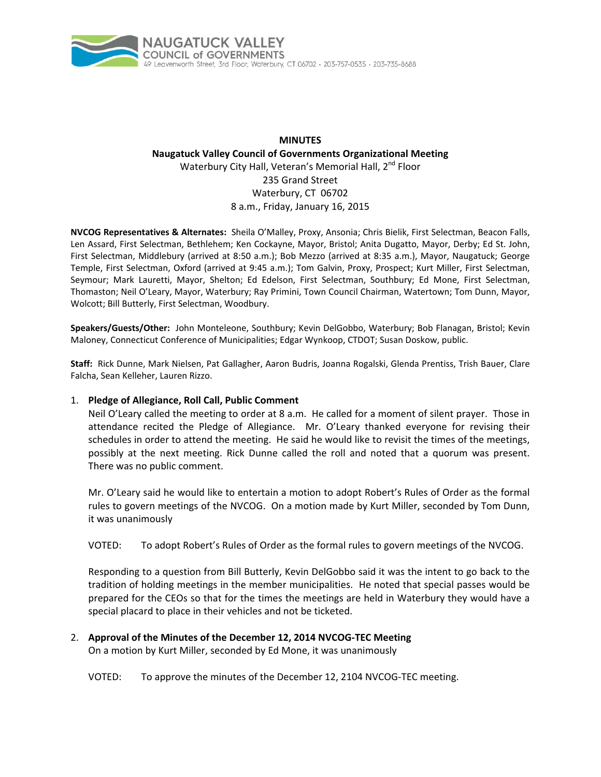

# **MINUTES Naugatuck Valley Council of Governments Organizational Meeting** Waterbury City Hall, Veteran's Memorial Hall, 2<sup>nd</sup> Floor 235 Grand Street Waterbury, CT 06702 8 a.m., Friday, January 16, 2015

**NVCOG Representatives & Alternates:** Sheila O'Malley, Proxy, Ansonia; Chris Bielik, First Selectman, Beacon Falls, Len Assard, First Selectman, Bethlehem; Ken Cockayne, Mayor, Bristol; Anita Dugatto, Mayor, Derby; Ed St. John, First Selectman, Middlebury (arrived at 8:50 a.m.); Bob Mezzo (arrived at 8:35 a.m.), Mayor, Naugatuck; George Temple, First Selectman, Oxford (arrived at 9:45 a.m.); Tom Galvin, Proxy, Prospect; Kurt Miller, First Selectman, Seymour; Mark Lauretti, Mayor, Shelton; Ed Edelson, First Selectman, Southbury; Ed Mone, First Selectman, Thomaston; Neil O'Leary, Mayor, Waterbury; Ray Primini, Town Council Chairman, Watertown; Tom Dunn, Mayor, Wolcott; Bill Butterly, First Selectman, Woodbury.

**Speakers/Guests/Other:** John Monteleone, Southbury; Kevin DelGobbo, Waterbury; Bob Flanagan, Bristol; Kevin Maloney, Connecticut Conference of Municipalities; Edgar Wynkoop, CTDOT; Susan Doskow, public.

**Staff:** Rick Dunne, Mark Nielsen, Pat Gallagher, Aaron Budris, Joanna Rogalski, Glenda Prentiss, Trish Bauer, Clare Falcha, Sean Kelleher, Lauren Rizzo.

#### 1. **Pledge of Allegiance, Roll Call, Public Comment**

Neil O'Leary called the meeting to order at 8 a.m. He called for a moment of silent prayer. Those in attendance recited the Pledge of Allegiance. Mr. O'Leary thanked everyone for revising their schedules in order to attend the meeting. He said he would like to revisit the times of the meetings, possibly at the next meeting. Rick Dunne called the roll and noted that a quorum was present. There was no public comment.

Mr. O'Leary said he would like to entertain a motion to adopt Robert's Rules of Order as the formal rules to govern meetings of the NVCOG. On a motion made by Kurt Miller, seconded by Tom Dunn, it was unanimously

#### VOTED: To adopt Robert's Rules of Order as the formal rules to govern meetings of the NVCOG.

Responding to a question from Bill Butterly, Kevin DelGobbo said it was the intent to go back to the tradition of holding meetings in the member municipalities. He noted that special passes would be prepared for the CEOs so that for the times the meetings are held in Waterbury they would have a special placard to place in their vehicles and not be ticketed.

# 2. **Approval of the Minutes of the December 12, 2014 NVCOG‐TEC Meeting**

On a motion by Kurt Miller, seconded by Ed Mone, it was unanimously

VOTED: To approve the minutes of the December 12, 2104 NVCOG‐TEC meeting.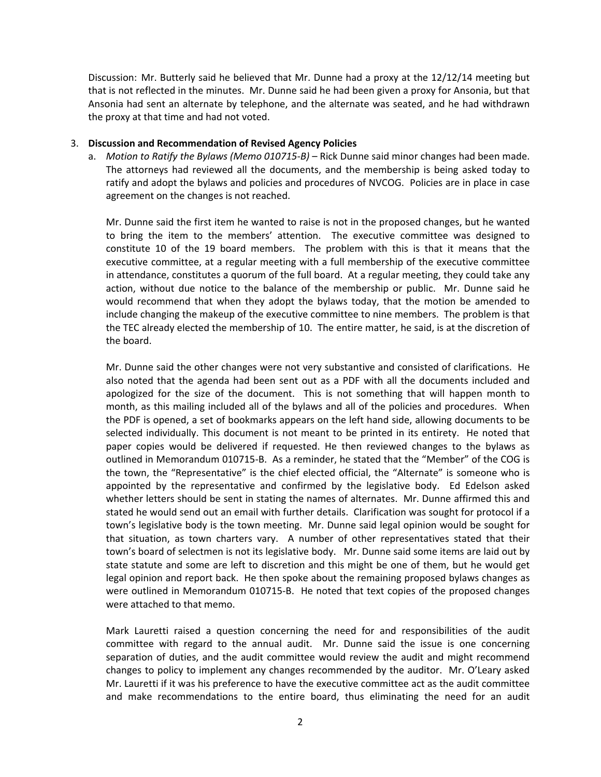Discussion: Mr. Butterly said he believed that Mr. Dunne had a proxy at the 12/12/14 meeting but that is not reflected in the minutes. Mr. Dunne said he had been given a proxy for Ansonia, but that Ansonia had sent an alternate by telephone, and the alternate was seated, and he had withdrawn the proxy at that time and had not voted.

## 3. **Discussion and Recommendation of Revised Agency Policies**

 a. *Motion to Ratify the Bylaws (Memo 010715‐B)* – Rick Dunne said minor changes had been made. The attorneys had reviewed all the documents, and the membership is being asked today to ratify and adopt the bylaws and policies and procedures of NVCOG. Policies are in place in case agreement on the changes is not reached.

 Mr. Dunne said the first item he wanted to raise is not in the proposed changes, but he wanted to bring the item to the members' attention. The executive committee was designed to constitute 10 of the 19 board members. The problem with this is that it means that the executive committee, at a regular meeting with a full membership of the executive committee in attendance, constitutes a quorum of the full board. At a regular meeting, they could take any action, without due notice to the balance of the membership or public. Mr. Dunne said he would recommend that when they adopt the bylaws today, that the motion be amended to include changing the makeup of the executive committee to nine members. The problem is that the TEC already elected the membership of 10. The entire matter, he said, is at the discretion of the board.

 Mr. Dunne said the other changes were not very substantive and consisted of clarifications. He also noted that the agenda had been sent out as a PDF with all the documents included and apologized for the size of the document. This is not something that will happen month to month, as this mailing included all of the bylaws and all of the policies and procedures. When the PDF is opened, a set of bookmarks appears on the left hand side, allowing documents to be selected individually. This document is not meant to be printed in its entirety. He noted that paper copies would be delivered if requested. He then reviewed changes to the bylaws as outlined in Memorandum 010715‐B. As a reminder, he stated that the "Member" of the COG is the town, the "Representative" is the chief elected official, the "Alternate" is someone who is appointed by the representative and confirmed by the legislative body. Ed Edelson asked whether letters should be sent in stating the names of alternates. Mr. Dunne affirmed this and stated he would send out an email with further details. Clarification was sought for protocol if a town's legislative body is the town meeting. Mr. Dunne said legal opinion would be sought for that situation, as town charters vary. A number of other representatives stated that their town's board of selectmen is not its legislative body. Mr. Dunne said some items are laid out by state statute and some are left to discretion and this might be one of them, but he would get legal opinion and report back. He then spoke about the remaining proposed bylaws changes as were outlined in Memorandum 010715‐B. He noted that text copies of the proposed changes were attached to that memo.

 Mark Lauretti raised a question concerning the need for and responsibilities of the audit committee with regard to the annual audit. Mr. Dunne said the issue is one concerning separation of duties, and the audit committee would review the audit and might recommend changes to policy to implement any changes recommended by the auditor. Mr. O'Leary asked Mr. Lauretti if it was his preference to have the executive committee act as the audit committee and make recommendations to the entire board, thus eliminating the need for an audit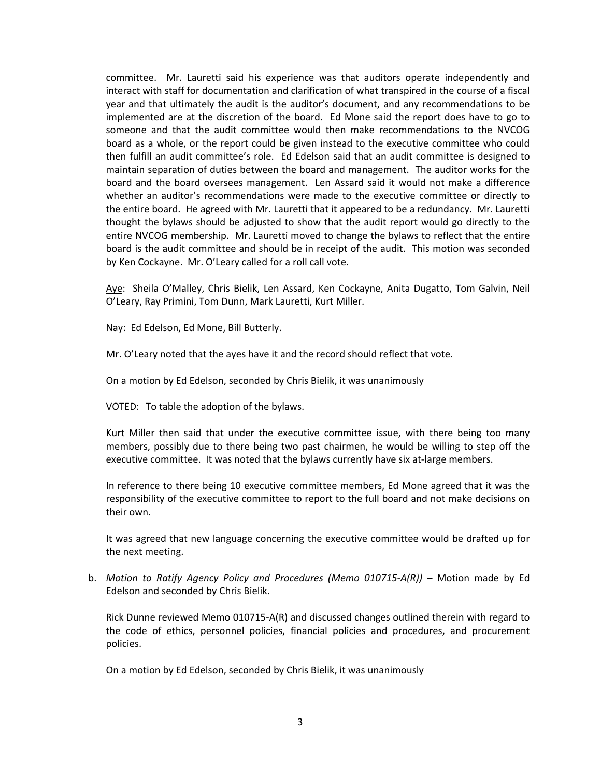committee. Mr. Lauretti said his experience was that auditors operate independently and interact with staff for documentation and clarification of what transpired in the course of a fiscal year and that ultimately the audit is the auditor's document, and any recommendations to be implemented are at the discretion of the board. Ed Mone said the report does have to go to someone and that the audit committee would then make recommendations to the NVCOG board as a whole, or the report could be given instead to the executive committee who could then fulfill an audit committee's role. Ed Edelson said that an audit committee is designed to maintain separation of duties between the board and management. The auditor works for the board and the board oversees management. Len Assard said it would not make a difference whether an auditor's recommendations were made to the executive committee or directly to the entire board. He agreed with Mr. Lauretti that it appeared to be a redundancy. Mr. Lauretti thought the bylaws should be adjusted to show that the audit report would go directly to the entire NVCOG membership. Mr. Lauretti moved to change the bylaws to reflect that the entire board is the audit committee and should be in receipt of the audit. This motion was seconded by Ken Cockayne. Mr. O'Leary called for a roll call vote.

 Aye: Sheila O'Malley, Chris Bielik, Len Assard, Ken Cockayne, Anita Dugatto, Tom Galvin, Neil O'Leary, Ray Primini, Tom Dunn, Mark Lauretti, Kurt Miller.

Nay: Ed Edelson, Ed Mone, Bill Butterly.

Mr. O'Leary noted that the ayes have it and the record should reflect that vote.

On a motion by Ed Edelson, seconded by Chris Bielik, it was unanimously

VOTED: To table the adoption of the bylaws.

Kurt Miller then said that under the executive committee issue, with there being too many members, possibly due to there being two past chairmen, he would be willing to step off the executive committee. It was noted that the bylaws currently have six at-large members.

In reference to there being 10 executive committee members, Ed Mone agreed that it was the responsibility of the executive committee to report to the full board and not make decisions on their own.

It was agreed that new language concerning the executive committee would be drafted up for the next meeting.

b. *Motion to Ratify Agency Policy and Procedures (Memo 010715‐A(R))* – Motion made by Ed Edelson and seconded by Chris Bielik.

Rick Dunne reviewed Memo 010715‐A(R) and discussed changes outlined therein with regard to the code of ethics, personnel policies, financial policies and procedures, and procurement policies.

On a motion by Ed Edelson, seconded by Chris Bielik, it was unanimously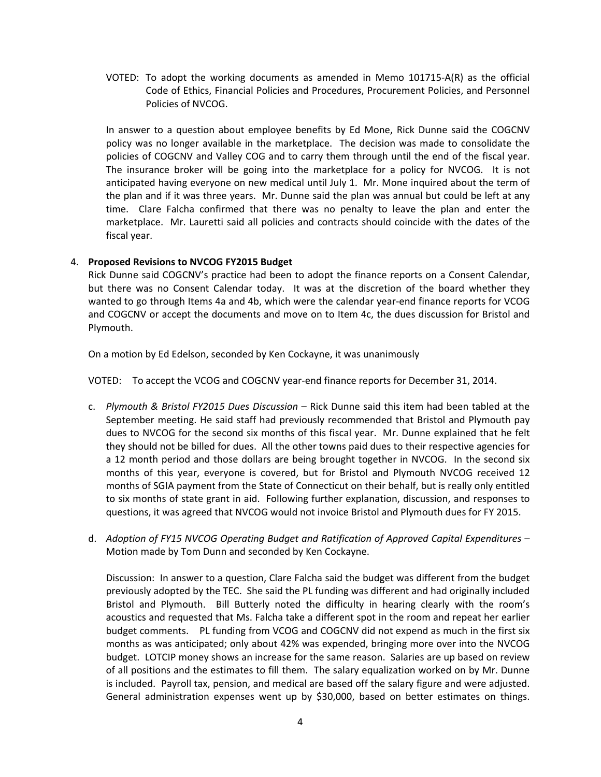VOTED: To adopt the working documents as amended in Memo 101715‐A(R) as the official Code of Ethics, Financial Policies and Procedures, Procurement Policies, and Personnel Policies of NVCOG.

 In answer to a question about employee benefits by Ed Mone, Rick Dunne said the COGCNV policy was no longer available in the marketplace. The decision was made to consolidate the policies of COGCNV and Valley COG and to carry them through until the end of the fiscal year. The insurance broker will be going into the marketplace for a policy for NVCOG. It is not anticipated having everyone on new medical until July 1. Mr. Mone inquired about the term of the plan and if it was three years. Mr. Dunne said the plan was annual but could be left at any time. Clare Falcha confirmed that there was no penalty to leave the plan and enter the marketplace. Mr. Lauretti said all policies and contracts should coincide with the dates of the fiscal year.

## 4. **Proposed Revisions to NVCOG FY2015 Budget**

Rick Dunne said COGCNV's practice had been to adopt the finance reports on a Consent Calendar, but there was no Consent Calendar today. It was at the discretion of the board whether they wanted to go through Items 4a and 4b, which were the calendar year-end finance reports for VCOG and COGCNV or accept the documents and move on to Item 4c, the dues discussion for Bristol and Plymouth.

On a motion by Ed Edelson, seconded by Ken Cockayne, it was unanimously

VOTED: To accept the VCOG and COGCNV year‐end finance reports for December 31, 2014.

- c. *Plymouth & Bristol FY2015 Dues Discussion* Rick Dunne said this item had been tabled at the September meeting. He said staff had previously recommended that Bristol and Plymouth pay dues to NVCOG for the second six months of this fiscal year. Mr. Dunne explained that he felt they should not be billed for dues. All the other towns paid dues to their respective agencies for a 12 month period and those dollars are being brought together in NVCOG. In the second six months of this year, everyone is covered, but for Bristol and Plymouth NVCOG received 12 months of SGIA payment from the State of Connecticut on their behalf, but is really only entitled to six months of state grant in aid. Following further explanation, discussion, and responses to questions, it was agreed that NVCOG would not invoice Bristol and Plymouth dues for FY 2015.
- d. *Adoption of FY15 NVCOG Operating Budget and Ratification of Approved Capital Expenditures* Motion made by Tom Dunn and seconded by Ken Cockayne.

 Discussion: In answer to a question, Clare Falcha said the budget was different from the budget previously adopted by the TEC. She said the PL funding was different and had originally included Bristol and Plymouth. Bill Butterly noted the difficulty in hearing clearly with the room's acoustics and requested that Ms. Falcha take a different spot in the room and repeat her earlier budget comments. PL funding from VCOG and COGCNV did not expend as much in the first six months as was anticipated; only about 42% was expended, bringing more over into the NVCOG budget. LOTCIP money shows an increase for the same reason. Salaries are up based on review of all positions and the estimates to fill them. The salary equalization worked on by Mr. Dunne is included. Payroll tax, pension, and medical are based off the salary figure and were adjusted. General administration expenses went up by \$30,000, based on better estimates on things.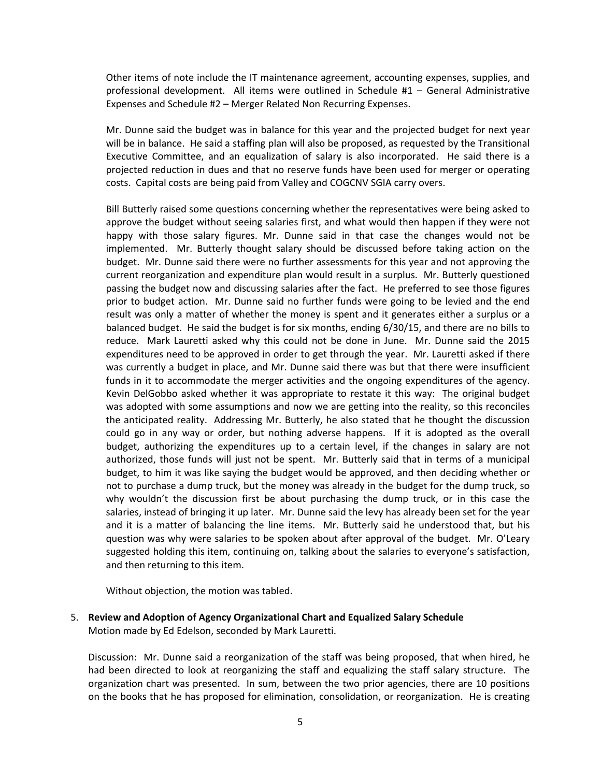Other items of note include the IT maintenance agreement, accounting expenses, supplies, and professional development. All items were outlined in Schedule #1 – General Administrative Expenses and Schedule #2 – Merger Related Non Recurring Expenses.

 Mr. Dunne said the budget was in balance for this year and the projected budget for next year will be in balance. He said a staffing plan will also be proposed, as requested by the Transitional Executive Committee, and an equalization of salary is also incorporated. He said there is a projected reduction in dues and that no reserve funds have been used for merger or operating costs. Capital costs are being paid from Valley and COGCNV SGIA carry overs.

 Bill Butterly raised some questions concerning whether the representatives were being asked to approve the budget without seeing salaries first, and what would then happen if they were not happy with those salary figures. Mr. Dunne said in that case the changes would not be implemented. Mr. Butterly thought salary should be discussed before taking action on the budget. Mr. Dunne said there were no further assessments for this year and not approving the current reorganization and expenditure plan would result in a surplus. Mr. Butterly questioned passing the budget now and discussing salaries after the fact. He preferred to see those figures prior to budget action. Mr. Dunne said no further funds were going to be levied and the end result was only a matter of whether the money is spent and it generates either a surplus or a balanced budget. He said the budget is for six months, ending 6/30/15, and there are no bills to reduce. Mark Lauretti asked why this could not be done in June. Mr. Dunne said the 2015 expenditures need to be approved in order to get through the year. Mr. Lauretti asked if there was currently a budget in place, and Mr. Dunne said there was but that there were insufficient funds in it to accommodate the merger activities and the ongoing expenditures of the agency. Kevin DelGobbo asked whether it was appropriate to restate it this way: The original budget was adopted with some assumptions and now we are getting into the reality, so this reconciles the anticipated reality. Addressing Mr. Butterly, he also stated that he thought the discussion could go in any way or order, but nothing adverse happens. If it is adopted as the overall budget, authorizing the expenditures up to a certain level, if the changes in salary are not authorized, those funds will just not be spent. Mr. Butterly said that in terms of a municipal budget, to him it was like saying the budget would be approved, and then deciding whether or not to purchase a dump truck, but the money was already in the budget for the dump truck, so why wouldn't the discussion first be about purchasing the dump truck, or in this case the salaries, instead of bringing it up later. Mr. Dunne said the levy has already been set for the year and it is a matter of balancing the line items. Mr. Butterly said he understood that, but his question was why were salaries to be spoken about after approval of the budget. Mr. O'Leary suggested holding this item, continuing on, talking about the salaries to everyone's satisfaction, and then returning to this item.

Without objection, the motion was tabled.

5. **Review and Adoption of Agency Organizational Chart and Equalized Salary Schedule** Motion made by Ed Edelson, seconded by Mark Lauretti.

Discussion: Mr. Dunne said a reorganization of the staff was being proposed, that when hired, he had been directed to look at reorganizing the staff and equalizing the staff salary structure. The organization chart was presented. In sum, between the two prior agencies, there are 10 positions on the books that he has proposed for elimination, consolidation, or reorganization. He is creating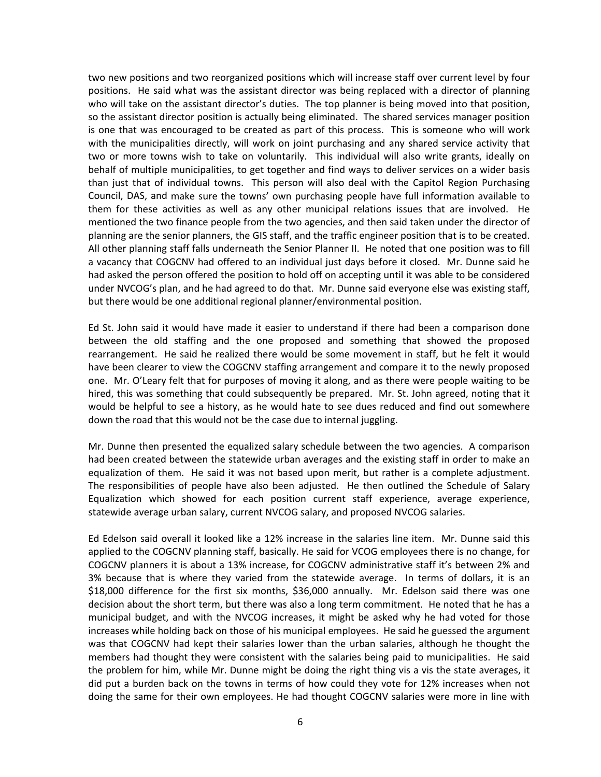two new positions and two reorganized positions which will increase staff over current level by four positions. He said what was the assistant director was being replaced with a director of planning who will take on the assistant director's duties. The top planner is being moved into that position, so the assistant director position is actually being eliminated. The shared services manager position is one that was encouraged to be created as part of this process. This is someone who will work with the municipalities directly, will work on joint purchasing and any shared service activity that two or more towns wish to take on voluntarily. This individual will also write grants, ideally on behalf of multiple municipalities, to get together and find ways to deliver services on a wider basis than just that of individual towns. This person will also deal with the Capitol Region Purchasing Council, DAS, and make sure the towns' own purchasing people have full information available to them for these activities as well as any other municipal relations issues that are involved. He mentioned the two finance people from the two agencies, and then said taken under the director of planning are the senior planners, the GIS staff, and the traffic engineer position that is to be created. All other planning staff falls underneath the Senior Planner II. He noted that one position was to fill a vacancy that COGCNV had offered to an individual just days before it closed. Mr. Dunne said he had asked the person offered the position to hold off on accepting until it was able to be considered under NVCOG's plan, and he had agreed to do that. Mr. Dunne said everyone else was existing staff, but there would be one additional regional planner/environmental position.

Ed St. John said it would have made it easier to understand if there had been a comparison done between the old staffing and the one proposed and something that showed the proposed rearrangement. He said he realized there would be some movement in staff, but he felt it would have been clearer to view the COGCNV staffing arrangement and compare it to the newly proposed one. Mr. O'Leary felt that for purposes of moving it along, and as there were people waiting to be hired, this was something that could subsequently be prepared. Mr. St. John agreed, noting that it would be helpful to see a history, as he would hate to see dues reduced and find out somewhere down the road that this would not be the case due to internal juggling.

Mr. Dunne then presented the equalized salary schedule between the two agencies. A comparison had been created between the statewide urban averages and the existing staff in order to make an equalization of them. He said it was not based upon merit, but rather is a complete adjustment. The responsibilities of people have also been adjusted. He then outlined the Schedule of Salary Equalization which showed for each position current staff experience, average experience, statewide average urban salary, current NVCOG salary, and proposed NVCOG salaries.

Ed Edelson said overall it looked like a 12% increase in the salaries line item. Mr. Dunne said this applied to the COGCNV planning staff, basically. He said for VCOG employees there is no change, for COGCNV planners it is about a 13% increase, for COGCNV administrative staff it's between 2% and 3% because that is where they varied from the statewide average. In terms of dollars, it is an \$18,000 difference for the first six months, \$36,000 annually. Mr. Edelson said there was one decision about the short term, but there was also a long term commitment. He noted that he has a municipal budget, and with the NVCOG increases, it might be asked why he had voted for those increases while holding back on those of his municipal employees. He said he guessed the argument was that COGCNV had kept their salaries lower than the urban salaries, although he thought the members had thought they were consistent with the salaries being paid to municipalities. He said the problem for him, while Mr. Dunne might be doing the right thing vis a vis the state averages, it did put a burden back on the towns in terms of how could they vote for 12% increases when not doing the same for their own employees. He had thought COGCNV salaries were more in line with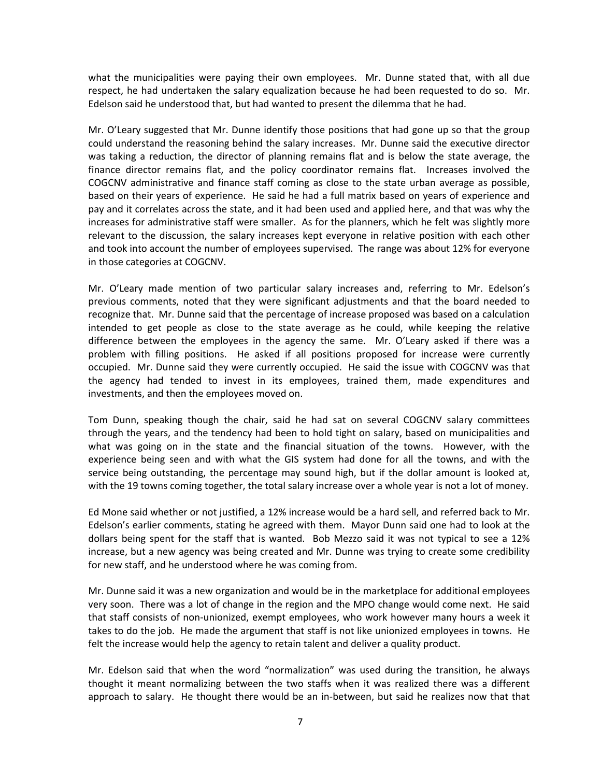what the municipalities were paying their own employees. Mr. Dunne stated that, with all due respect, he had undertaken the salary equalization because he had been requested to do so. Mr. Edelson said he understood that, but had wanted to present the dilemma that he had.

Mr. O'Leary suggested that Mr. Dunne identify those positions that had gone up so that the group could understand the reasoning behind the salary increases. Mr. Dunne said the executive director was taking a reduction, the director of planning remains flat and is below the state average, the finance director remains flat, and the policy coordinator remains flat. Increases involved the COGCNV administrative and finance staff coming as close to the state urban average as possible, based on their years of experience. He said he had a full matrix based on years of experience and pay and it correlates across the state, and it had been used and applied here, and that was why the increases for administrative staff were smaller. As for the planners, which he felt was slightly more relevant to the discussion, the salary increases kept everyone in relative position with each other and took into account the number of employees supervised. The range was about 12% for everyone in those categories at COGCNV.

Mr. O'Leary made mention of two particular salary increases and, referring to Mr. Edelson's previous comments, noted that they were significant adjustments and that the board needed to recognize that. Mr. Dunne said that the percentage of increase proposed was based on a calculation intended to get people as close to the state average as he could, while keeping the relative difference between the employees in the agency the same. Mr. O'Leary asked if there was a problem with filling positions. He asked if all positions proposed for increase were currently occupied. Mr. Dunne said they were currently occupied. He said the issue with COGCNV was that the agency had tended to invest in its employees, trained them, made expenditures and investments, and then the employees moved on.

Tom Dunn, speaking though the chair, said he had sat on several COGCNV salary committees through the years, and the tendency had been to hold tight on salary, based on municipalities and what was going on in the state and the financial situation of the towns. However, with the experience being seen and with what the GIS system had done for all the towns, and with the service being outstanding, the percentage may sound high, but if the dollar amount is looked at, with the 19 towns coming together, the total salary increase over a whole year is not a lot of money.

Ed Mone said whether or not justified, a 12% increase would be a hard sell, and referred back to Mr. Edelson's earlier comments, stating he agreed with them. Mayor Dunn said one had to look at the dollars being spent for the staff that is wanted. Bob Mezzo said it was not typical to see a 12% increase, but a new agency was being created and Mr. Dunne was trying to create some credibility for new staff, and he understood where he was coming from.

Mr. Dunne said it was a new organization and would be in the marketplace for additional employees very soon. There was a lot of change in the region and the MPO change would come next. He said that staff consists of non‐unionized, exempt employees, who work however many hours a week it takes to do the job. He made the argument that staff is not like unionized employees in towns. He felt the increase would help the agency to retain talent and deliver a quality product.

Mr. Edelson said that when the word "normalization" was used during the transition, he always thought it meant normalizing between the two staffs when it was realized there was a different approach to salary. He thought there would be an in‐between, but said he realizes now that that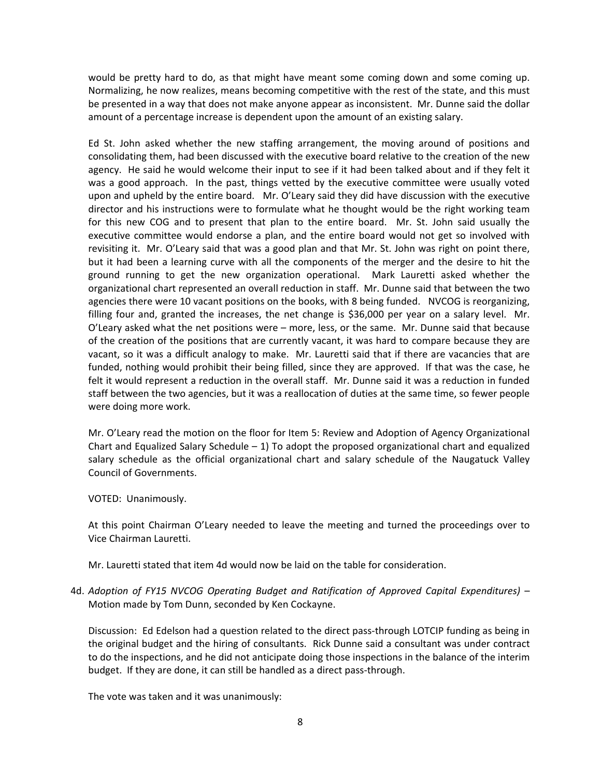would be pretty hard to do, as that might have meant some coming down and some coming up. Normalizing, he now realizes, means becoming competitive with the rest of the state, and this must be presented in a way that does not make anyone appear as inconsistent. Mr. Dunne said the dollar amount of a percentage increase is dependent upon the amount of an existing salary.

Ed St. John asked whether the new staffing arrangement, the moving around of positions and consolidating them, had been discussed with the executive board relative to the creation of the new agency. He said he would welcome their input to see if it had been talked about and if they felt it was a good approach. In the past, things vetted by the executive committee were usually voted upon and upheld by the entire board. Mr. O'Leary said they did have discussion with the executive director and his instructions were to formulate what he thought would be the right working team for this new COG and to present that plan to the entire board. Mr. St. John said usually the executive committee would endorse a plan, and the entire board would not get so involved with revisiting it. Mr. O'Leary said that was a good plan and that Mr. St. John was right on point there, but it had been a learning curve with all the components of the merger and the desire to hit the ground running to get the new organization operational. Mark Lauretti asked whether the organizational chart represented an overall reduction in staff. Mr. Dunne said that between the two agencies there were 10 vacant positions on the books, with 8 being funded. NVCOG is reorganizing, filling four and, granted the increases, the net change is \$36,000 per year on a salary level. Mr. O'Leary asked what the net positions were – more, less, or the same. Mr. Dunne said that because of the creation of the positions that are currently vacant, it was hard to compare because they are vacant, so it was a difficult analogy to make. Mr. Lauretti said that if there are vacancies that are funded, nothing would prohibit their being filled, since they are approved. If that was the case, he felt it would represent a reduction in the overall staff. Mr. Dunne said it was a reduction in funded staff between the two agencies, but it was a reallocation of duties at the same time, so fewer people were doing more work.

Mr. O'Leary read the motion on the floor for Item 5: Review and Adoption of Agency Organizational Chart and Equalized Salary Schedule  $-1$ ) To adopt the proposed organizational chart and equalized salary schedule as the official organizational chart and salary schedule of the Naugatuck Valley Council of Governments.

VOTED: Unanimously.

At this point Chairman O'Leary needed to leave the meeting and turned the proceedings over to Vice Chairman Lauretti.

Mr. Lauretti stated that item 4d would now be laid on the table for consideration.

4d. *Adoption of FY15 NVCOG Operating Budget and Ratification of Approved Capital Expenditures)* – Motion made by Tom Dunn, seconded by Ken Cockayne.

Discussion: Ed Edelson had a question related to the direct pass-through LOTCIP funding as being in the original budget and the hiring of consultants. Rick Dunne said a consultant was under contract to do the inspections, and he did not anticipate doing those inspections in the balance of the interim budget. If they are done, it can still be handled as a direct pass‐through.

The vote was taken and it was unanimously: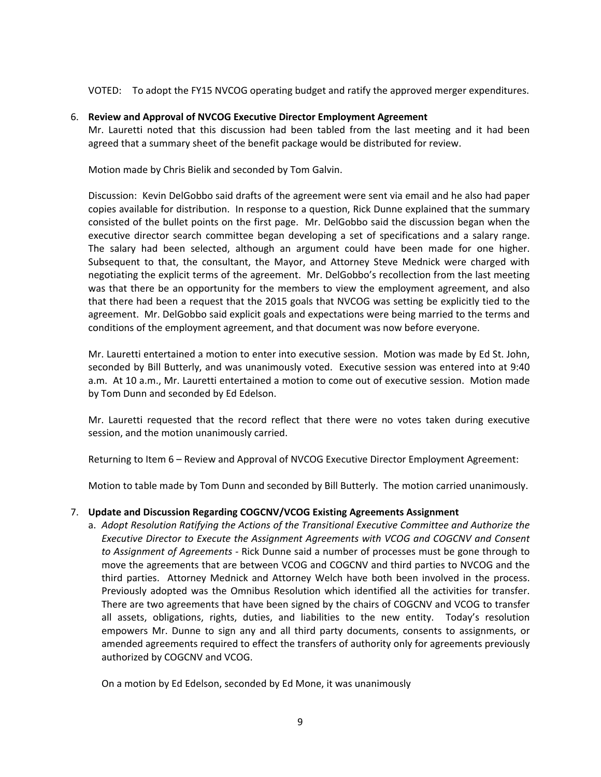VOTED: To adopt the FY15 NVCOG operating budget and ratify the approved merger expenditures.

# 6. **Review and Approval of NVCOG Executive Director Employment Agreement**

Mr. Lauretti noted that this discussion had been tabled from the last meeting and it had been agreed that a summary sheet of the benefit package would be distributed for review.

Motion made by Chris Bielik and seconded by Tom Galvin.

Discussion: Kevin DelGobbo said drafts of the agreement were sent via email and he also had paper copies available for distribution. In response to a question, Rick Dunne explained that the summary consisted of the bullet points on the first page. Mr. DelGobbo said the discussion began when the executive director search committee began developing a set of specifications and a salary range. The salary had been selected, although an argument could have been made for one higher. Subsequent to that, the consultant, the Mayor, and Attorney Steve Mednick were charged with negotiating the explicit terms of the agreement. Mr. DelGobbo's recollection from the last meeting was that there be an opportunity for the members to view the employment agreement, and also that there had been a request that the 2015 goals that NVCOG was setting be explicitly tied to the agreement. Mr. DelGobbo said explicit goals and expectations were being married to the terms and conditions of the employment agreement, and that document was now before everyone.

Mr. Lauretti entertained a motion to enter into executive session. Motion was made by Ed St. John, seconded by Bill Butterly, and was unanimously voted. Executive session was entered into at 9:40 a.m. At 10 a.m., Mr. Lauretti entertained a motion to come out of executive session. Motion made by Tom Dunn and seconded by Ed Edelson.

Mr. Lauretti requested that the record reflect that there were no votes taken during executive session, and the motion unanimously carried.

Returning to Item 6 – Review and Approval of NVCOG Executive Director Employment Agreement:

Motion to table made by Tom Dunn and seconded by Bill Butterly. The motion carried unanimously.

# 7. **Update and Discussion Regarding COGCNV/VCOG Existing Agreements Assignment**

a. *Adopt Resolution Ratifying the Actions of the Transitional Executive Committee and Authorize the Executive Director to Execute the Assignment Agreements with VCOG and COGCNV and Consent to Assignment of Agreements ‐* Rick Dunne said a number of processes must be gone through to move the agreements that are between VCOG and COGCNV and third parties to NVCOG and the third parties. Attorney Mednick and Attorney Welch have both been involved in the process. Previously adopted was the Omnibus Resolution which identified all the activities for transfer. There are two agreements that have been signed by the chairs of COGCNV and VCOG to transfer all assets, obligations, rights, duties, and liabilities to the new entity. Today's resolution empowers Mr. Dunne to sign any and all third party documents, consents to assignments, or amended agreements required to effect the transfers of authority only for agreements previously authorized by COGCNV and VCOG.

On a motion by Ed Edelson, seconded by Ed Mone, it was unanimously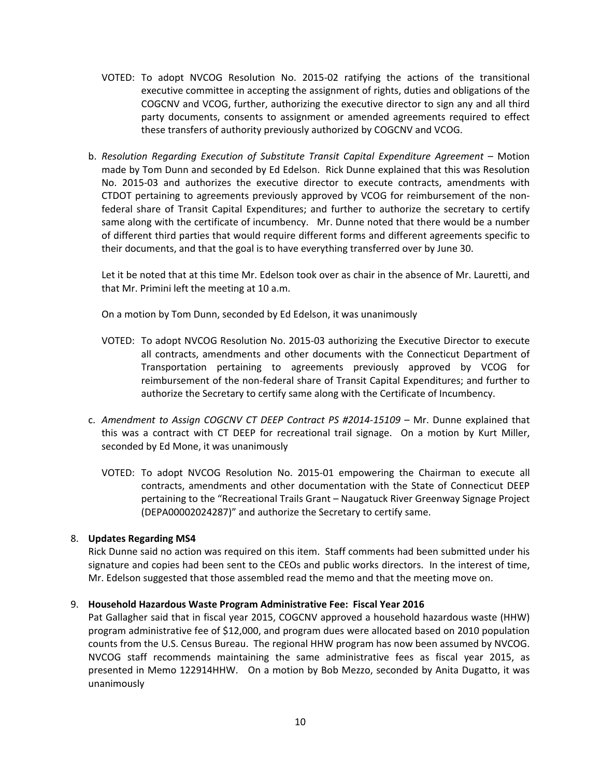- VOTED: To adopt NVCOG Resolution No. 2015‐02 ratifying the actions of the transitional executive committee in accepting the assignment of rights, duties and obligations of the COGCNV and VCOG, further, authorizing the executive director to sign any and all third party documents, consents to assignment or amended agreements required to effect these transfers of authority previously authorized by COGCNV and VCOG.
- b. *Resolution Regarding Execution of Substitute Transit Capital Expenditure Agreement* Motion made by Tom Dunn and seconded by Ed Edelson. Rick Dunne explained that this was Resolution No. 2015-03 and authorizes the executive director to execute contracts, amendments with CTDOT pertaining to agreements previously approved by VCOG for reimbursement of the non‐ federal share of Transit Capital Expenditures; and further to authorize the secretary to certify same along with the certificate of incumbency. Mr. Dunne noted that there would be a number of different third parties that would require different forms and different agreements specific to their documents, and that the goal is to have everything transferred over by June 30.

 Let it be noted that at this time Mr. Edelson took over as chair in the absence of Mr. Lauretti, and that Mr. Primini left the meeting at 10 a.m.

On a motion by Tom Dunn, seconded by Ed Edelson, it was unanimously

- VOTED: To adopt NVCOG Resolution No. 2015‐03 authorizing the Executive Director to execute all contracts, amendments and other documents with the Connecticut Department of Transportation pertaining to agreements previously approved by VCOG for reimbursement of the non‐federal share of Transit Capital Expenditures; and further to authorize the Secretary to certify same along with the Certificate of Incumbency.
- c. *Amendment to Assign COGCNV CT DEEP Contract PS #2014‐15109* Mr. Dunne explained that this was a contract with CT DEEP for recreational trail signage. On a motion by Kurt Miller, seconded by Ed Mone, it was unanimously
	- VOTED: To adopt NVCOG Resolution No. 2015‐01 empowering the Chairman to execute all contracts, amendments and other documentation with the State of Connecticut DEEP pertaining to the "Recreational Trails Grant – Naugatuck River Greenway Signage Project (DEPA00002024287)" and authorize the Secretary to certify same.

# 8. **Updates Regarding MS4**

Rick Dunne said no action was required on this item. Staff comments had been submitted under his signature and copies had been sent to the CEOs and public works directors. In the interest of time, Mr. Edelson suggested that those assembled read the memo and that the meeting move on.

#### 9. **Household Hazardous Waste Program Administrative Fee: Fiscal Year 2016**

Pat Gallagher said that in fiscal year 2015, COGCNV approved a household hazardous waste (HHW) program administrative fee of \$12,000, and program dues were allocated based on 2010 population counts from the U.S. Census Bureau. The regional HHW program has now been assumed by NVCOG. NVCOG staff recommends maintaining the same administrative fees as fiscal year 2015, as presented in Memo 122914HHW. On a motion by Bob Mezzo, seconded by Anita Dugatto, it was unanimously